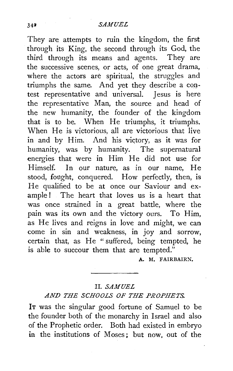They are attempts to ruin the kingdom, the first through its King, the second through its God, the third through its means and agents. They are the successive scenes, or acts, of one great drama, where the actors are spiritual, the struggles and triumphs the same. And yet they describe a contest representative and universal. Jesus is here the representative Man, the source and head of the new humanity, the founder of the kingdom that is to be. When He triumphs, it triumphs. When He is victorious, all are victorious that live in and by Him. And his victory, as it was for humanity, was by humanity. The supernatural energies that were in Him He did not use for Himself. In our nature, as in our name, He stood, fought, conquered. How perfectly, then, is He qualified to be at once our Saviour and example ! The heart that loves us is a heart that was once strained in a great battle, where the pain was its own and the victory ours. To Him, as He lives and reigns in love and might, we can come in sin and weakness, in joy and sorrow, certain that, as He "suffered, being tempted, he is able to succour them that are tempted."

A. M. FAIRBAIRN.

## II. *SAMUEL*

# *AND THE SCHOOLS OF THE PROPHETS.*

IT was the singular good fortune of Samuel to be the founder both of the monarchy in Israel and also of the Prophetic order. Both had existed in embryo in the institutions of Moses; but now, out of the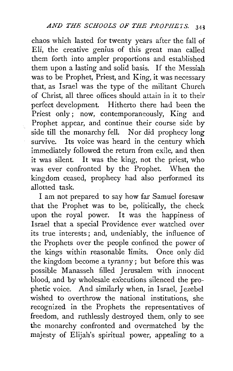chaos which lasted for twenty years after the fall of Eli, the creative genius of this great man called them forth into ampler proportions and established them upon a lasting and solid basis. If the Messiah was to be Prophet, Priest, and King, it was necessary that, as Israel was the type of the militant Church of Christ, all three offices should attain in it to their perfect development. Hitherto there had been the Priest only: now, contemporaneously, King and Prophet appear, and continue their course side by side till the monarchy fell. Nor did prophecy long survive. Its voice was heard in the century which immediately followed the return from exile, and then it was silent. It was the king, not the priest, who was ever confronted by the Prophet. When the kingdom ceased, prophecy had also performed its allotted task.

ć.

I am not prepared to say how far Samuel foresaw that the Prophet was to be, politically, the check upon the royal power. It was the happiness of Israel that a special Providence ever watched over its true interests; and, undeniably, the influence of the Prophets over the people confined the power of the kings within reasonable limits. Once only did the kingdom become a tyranny; but before this was possible Manasseh filled Jerusalem with innocent blood, and by wholesale executions silenced the prophetic voice. And similarly when, in Israel, Jezebel wished to overthrow the national institutions, she recognized in the Prophets the representatives of freedom, and ruthlessly destroyed them, only to see the monarchy confronted and overmatched by the majesty of Elijah's spiritual power, appealing to a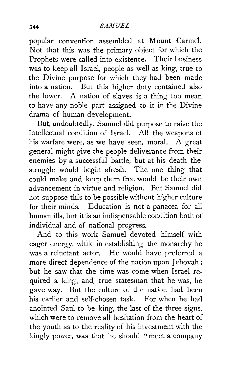# 344 *SA.MUEL*

popular convention assembled at Mount Carmel. Not that this was the primary object for which the Prophets were called into existence. Their business was to keep all Israel, people as well as king, true to the Divine purpose for which they had been made into a nation. But this higher duty contained also the lower. A nation of slaves is a thing too mean to have any noble part assigned to it in the Divine drama of human development.

But, undoubtedly, Samuel did purpose to raise the intellectual condition of Israel. All the weapons of his warfare were, as we have seen, moral. A great general might give the people deliverance from their enemies by a successful battle, but at his death the struggle would begin afresh. The one thing that could make and keep them free would be their own advancement in virtue and religion. But Samuel did not suppose this to be possible without higher culture for their minds. Education is not a panacea for all human ills, but it is an indispensable condition both of individual and of national progress.

And to this work Samuel devoted himself with eager energy, while in establishing the monarchy he was a reluctant actor. He would have preferred a more direct dependence of the nation upon Jehovah ; but he saw that the time was come when Israel required a king, and, true statesman that he was, he gave way. But the culture of the nation had been his earlier and self-chosen task. For when he had anointed Saul to be king, the last of the three signs, which were to remove all hesitation from the heart of the youth as to the reality of his investment with the kingly power, was that he should "meet a company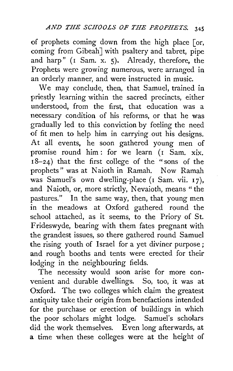of prophets coming down from the high place [or, coming from Gibeah<sup>]</sup> with psaltery and tabret, pipe and harp" (I Sam. x. 5). Already, therefore, the Prophets were growing numerous, were arranged in an orderly manner, and were instructed in music.

We may conclude, then, that Samuel, trained in priestly learning within the sacred precincts, either understood, from the first, that education was a necessary condition of his reforms, or that he was gradually led to this conviction by feeling the need of fit men to help him in carrying out his designs. At all events, he soon gathered young men of promise round him : for we learn  $(1 + \overline{S}am, xix)$ .  $18-24$ ) that the first college of the "sons of the prophets" was at Naioth in Ramah. Now Ramah was Samuel's own dwelling-place (I Sam. vii. 17), and Naioth, or, more strictly, Nevaioth, means " the pastures." In the same way, then, that young men in the meadows at Oxford gathered round the school attached, as it seems, to the Priory of St. Frideswyde, bearing with them fates pregnant with the grandest issues, so there gathered round Samuel the rising youth of Israel for a yet diviner purpose ; and rough booths and tents were erected for their lodging in the neighbouring fields.

The necessity would soon arise for more convenient and durable dwellings. So, too, it was at Oxford. The two colleges which claim the greatest antiquity take their origin from benefactions intended for the purchase or erection of buildings in which the poor scholars might lodge. Samuel's scholars did the work themselves. Even long afterwards, at a time when these colleges were at the height of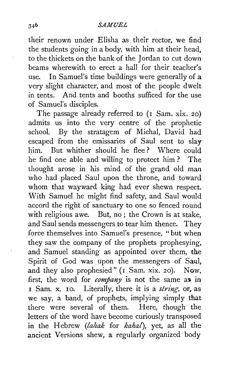their renown under Elisha as their rector, we find the students going in a body, with him at their head, to the thickets on the bank of the Jordan to cut down beams wherewith to erect a hall for their teacher's use. In Samuel's time buildings were generally of a very slight character, and most of the people dwelt in tents. And tents and booths sufficed for the use of Samuel's disciples.

The passage already referred to (I Sam. xix. 20) admits us into the very centre of the prophetic school. By the stratagem of Michal, David had escaped from the emissaries of Saul sent to slay him. But whither should he flee? Where could he find one able and willing to protect him ? The thought arose in his mind of the grand old man who had placed Saul upon the throne, and toward whom that wayward king had ever shewn respect. With Samuel he might find safety, and Saul would accord the right of sanctuary to one so fenced round with religious awe. But, no; the Crown is at stake, and Saul sends messengers to tear him thence. They force themselves into Samuel's presence, "but when they saw the company of the prophets prophesying, and Samuel standing as appointed over them, the Spirit of God was upon the messengers of Saul, and they also prophesied" (I Sam. xix. 20). Now, first, the word for *company* is not the same as in I Sam. x. IO. Literally, there it is a *string,* or, as we say, a band, of prophets, implying simply that there were several of them. Here, though the letters of the word have become curiously transposed in the Hebrew *(lahak* for *kahal),* yet, as all the ancient Versions shew, a regularly organized body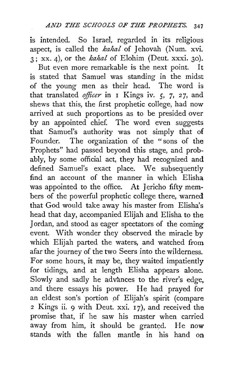is intended. So Israel, regarded in its religious aspect, is called the *kahal* of Jehovah (Num. xvi.  $\frac{1}{3}$ ; xx. 4), or the *kahal* of Elohim (Deut. xxxi. 30).

But even more remarkable is the next point. It is stated that Samuel was standing in the midst of the young men as their head. The word is that translated *ojficer* in I Kings iv. *5,* 7, 27, and shews that this, the first prophetic college, had now arrived at such proportions as to be presided over by an appointed chief. The word even suggests that Samuel's authority was not simply that of Founder. The organization of the "sons of the Prophets" had passed beyond this stage, and probably, by some official act, they had recognized and defined Samuel's exact place. We subsequently find an account of the manner in which Elisha was appointed to the office. At Jericho fifty members of the powerful prophetic college there, warned that God would take away his master from Elisha's head that day, accompanied Elijah and Elisha to the 1 ordan, and stood as eager spectators of the coming event. With wonder they observed the miracle by which Elijah parted the waters, and watched from afar the journey of the two Seers into the wilderness. For some hours, it may be, they waited impatiently for tidings, and at length Elisha appears alone. Slowly and sadly he advances to the river's edge, and there essays his power. He had prayed for an eldest son's portion of Elijah's spirit (compare 2 Kings ii. 9 with Deut. xxi. I 7), and received the promise that, if he saw his master when carried away from him, it should be granted. He now stands with the fallen mantle in his hand on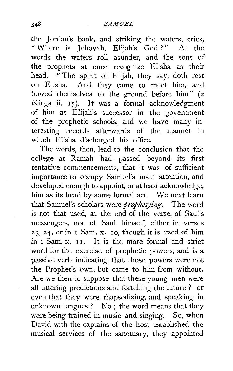# *.SAMUEL*

the Jordan's bank, and striking the waters, cries, '' Where is J ehovah, Elijah's God ? " At the words the waters roll asunder, and the sons of the prophets at once recognize Elisha as their head. "The spirit of Elijah, they say, doth rest on Elisha. And they came to meet him, and bowed themselves to the ground before him" (2 Kings ii.  $15$ ). It was a formal acknowledgment of him as Elijah's successor in the government of the prophetic schools, and we have many interesting records afterwards of the manner in which Elisha discharged his office.

The words, then, lead to the conclusion that the college at Ramah had passed beyond its first tentative commencements, that it was of sufficient importance to occupy Samuel's main attention, and developed enough to appoint, or at least acknowledge, him as its head by some formal act. We next learn that Samuel's scholars were *prophesying.* The word is not that used, at the end of the verse, of Saul's messengers, nor of Saul himself, either in verses  $23, 24$ , or in I Sam. x. Io, though it is used of him *in* I Sam. x. I I. It is the more formal and strict word for the exercise of prophetic powers, and is a passive verb indicating that those powers were not the Prophet's own, but came to him from without. Are we then to suppose that these young men were all uttering predictions and fortelling the future ? or even that they were rhapsodizing, and speaking in unknown tongues ? No; the word means that they were being trained in music and singing. So, when David with the captains of the host established the musical services of the sanctuary, they appointed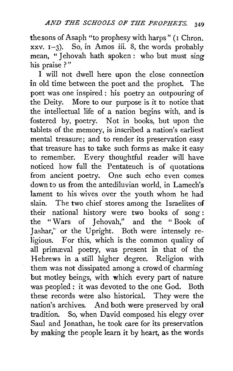the sons of Asaph "to prophesy with harps" (I Chron. xxv.  $I-3$ ). So, in Amos iii. 8, the words probably mean, "Jehovah hath spoken : who but must sing his praise ? "

I will not dwell here upon the close connection in old time between the poet and the prophet. The poet was one inspired : his poetry an outpouring of the Deity. More to our purpose is it to notice that the intellectual life of a nation begins with, and is fostered by, poetry. Not in books, but upon the tablets of the memory, is inscribed a nation's earliest mental treasure; and to render its preservation easy that treasure has to take such forms as make it easy to remember. Every thoughtful reader will have noticed how full the Pentateuch is of quotations from ancient poetry. One such echo even comes down to us from the antediluvian world, in Lamech's lament to his wives over the youth whom he had slain. The two chief stores among the Israelites of their national history were two books of song : the "Wars of Jehovah," and the "Book of Jashar," or the Upright. Both were intensely religious. For this, which is the common quality of all primæval poetry, was present in that of the Hebrews in a still higher degree. Religion with them was not dissipated among a crowd of charming but motley beings, with which every part of nature was peopled : it was devoted to the one God. Both these records were also historical. They were the nation's archives. And both were preserved by oral tradition. So, when David composed his elegy over Saul and Jonathan, he took care for its preservation by making the people learn it by heart, as the words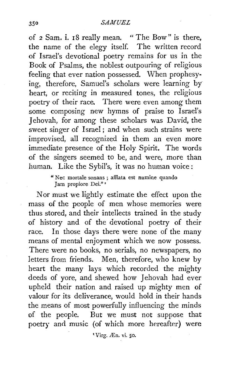of 2 Sam. i. 18 really mean. " The Bow" is there, the name of the elegy itself. The written record of Israel's devotional poetry remains for us in the Book of Psalms, the noblest outpouring of religious feeling that ever nation possessed. When prophesy· ing, therefore, Samuel's scholars were learning by heart, or reciting in measured tones, the religious poetry of their race. There were even among them some composing new hymns of praise to Israel's Jehovah, for among these scholars was David, the sweet singer of Israel; and when such strains were improvised, all recognized in them an even more immediate presence of the Holy Spirit. The words of the singers seemed to be, and were, more than human. Like the Sybil's, it was no human voice:

> " Nec mortale sonans ; afflata est numine quando Jam propiore Dei." •

Nor must we lightly estimate the effect upon the mass of the people of men whose memories were thus stored, and their intellects trained in the study of history and of the devotional poetry of their race. In those days there were none of the many means of mental enjoyment which we now possess. There were no books, no serials, no newspapers, no letters from friends. Men, therefore, who knew by heart the many lays which recorded the mighty deeds of yore, and shewed how Jehovah had ever upheld their nation and raised up mighty men of valour for its deliverance, would hold in their hands the means of most powerfully influencing the minds of the people. But we must not suppose that poetry and music (of which more hereafter) were

' Virg. Æn. vi. 50.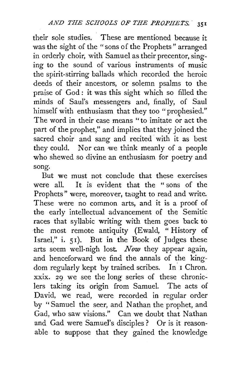their sole studies. These are mentioned because it was the sight of the "sons of the Prophets" arranged in orderly choir, with Samuel as their precentor, singing to the sound of various instruments of music the spirit-stirring ballads which recorded the heroic deeds of their ancestors, or solemn psalms to the praise of God: it was this sight which so filled the minds of Saul's messengers and, finally, of Saul himself with enthusiasm that they too "prophesied." The word in their case means "to imitate or act the part of the prophet," and implies that they joined the sacred choir and sang and recited with it as best they could. Nor can we think meanly of a people who shewed so divine an enthusiasm for poetry and song.

But we must not conclude that these exercises were all. It is evident that the " sons of the Prophets" were, moreover, taught to read and write. These were no common arts, and it is a proof of the early intellectual advancement of the Semitic races that syllabic writing with them goes back to the most remote antiquity (Ewald, " History of Israel," i. 51). But in the Book of Judges these arts seem well-nigh lost *Now* they appear again, and henceforward we find the annals of the kingdom regularly kept by trained scribes. In I Chron. xxix. 29 we see the long series of these chroniclers taking its origin from Samuel. The acts of David, we read, were recorded in regular order by "Samuel the seer, and Nathan the prophet, and Gad, who saw visions." Can we doubt that Nathan and Gad were Samuel's disciples? Or is it reasonable to suppose that they gained the knowledge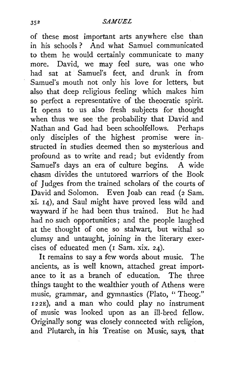#### *SAMUEL*

of these most important arts anywhere else than in his schools ? And what Samuel communicated to them he would certainly communicate to many more. David, we may feel sure, was one who had sat at Samuel's feet, and drunk in from Samuel's mouth not only his love for letters, but also that deep religious feeling which makes him so perfect a representative of the theocratic spirit. It opens *to* us also fresh subjects for thought when thus we see the probability that David and Nathan and Gad had been schoolfellows. Perhaps only disciples of the highest promise were instructed in studies deemed then so mysterious and profound as to write and read; but evidently from Samuel's days an era of culture begins. A wide chasm divides the untutored warriors of the Book of Judges from the trained scholars of the courts of David and Solomon. Even Joab can read (2 Sam. xi. 14), and Saul might have proved less wild and wayward if he had been thus trained. But he had had no such opportunities ; and the people laughed at the thought of one so stalwart, but withal so clumsy and untaught, joining in the literary exercises of educated men  $($ I Sam. xix. 24 $)$ .

It remains to say a few words about music. The ancients, as is well known, attached great importance to it as a branch of education. The three things taught to the wealthier youth of Athens were music, grammar, and gymnastics (Plato, '' Theog." I22E), and a man who could play no instrument of music was looked upon as an ill-bred fellow. Originally song was closely connected with religion, and Plutarch, in his Treatise on Music, says, that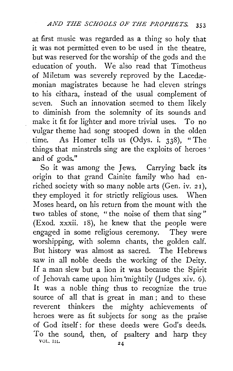at first music was regarded as a thing so holy that it was not permitted even to be used in the theatre, but was reserved for the worship of the gods and the education of youth. We also read that Timotheus of Miletum was severely reproved by the Lacedæmonian magistrates because he had eleven strings to his cithara, instead of the usual complement of seven. Such an innovation seemed to them likely to diminish from the solemnity of its sounds and make it fit for lighter and more trivial uses. To no vulgar theme had song stooped down in the olden time. As Homer tells us (Odys. i. 338), "The things that minstrels sing are the exploits of heroes ' and of gods."

So it was among the Jews. Carrying back its origin to that grand Cainite family who had enriched society with so many noble arts (Gen. iv. *2* 1 ), they employed it for strictly religious uses. When Moses heard, on his return from the mount with the two tables of stone, " the noise of them that sing" (Exod. xxxii. 18), he knew that the people were engaged in some religious ceremony. They were worshipping, with solemn chants, the golden calf. But history was almost as sacred. The Hebrews saw in all noble deeds the working of the Deity. If a man slew but a lion it was because the Spirit of Jehovah came upon him mightily (Judges xiv. 6). It was a noble thing thus to recognize the true source of all that is great in man ; and to these reverent thinkers the mighty achievements of heroes were as fit subjects for song as the praise of God itself: for these deeds were God's deeds. To the sound, then, of psaltery and harp they  $\frac{1}{24}$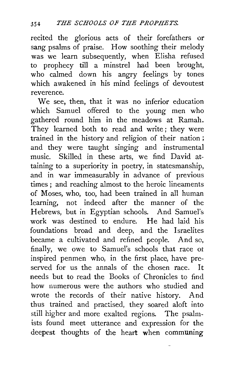recited the glorious acts of their forefathers or sang psalms of praise. How soothing their melody was we learn subsequently, when Elisha refused to prophecy till a minstrel had been brought, who calmed down his angry feelings by tones which awakened in his mind feelings of devoutest reverence.

We see, then, that it was no inferior education which Samuel offered to the young men who gathered round him in the meadows at Ramah. They learned both to read and write; they were trained in the history and religion of their nation ; and they were taught singing and instrumental music. Skilled in these arts, we find David attaining to a superiority in poetry, in statesmanship, and in war immeasurably in advance of previous times ; and reaching almost to the heroic lineaments of Moses, who, too, had been trained in all human learning, not indeed after the manner of the Hebrews, but in Egyptian schools. And Samuel's work was destined to endure. He had laid his foundations broad and deep, and the Israelites became a cultivated and refined people. And so, finally, we owe to Samuel's schools that race ot inspired penmen who, in the first place, have preserved for us the annals of the chosen race. It needs but to read the Books of Chronicles to find how numerous were the authors who studied and wrote the records of their native history. And thus trained and practised, they soared aloft into still higher and more exalted regions. The psalmists found meet utterance and expression for the deepest thoughts of the heart when communing